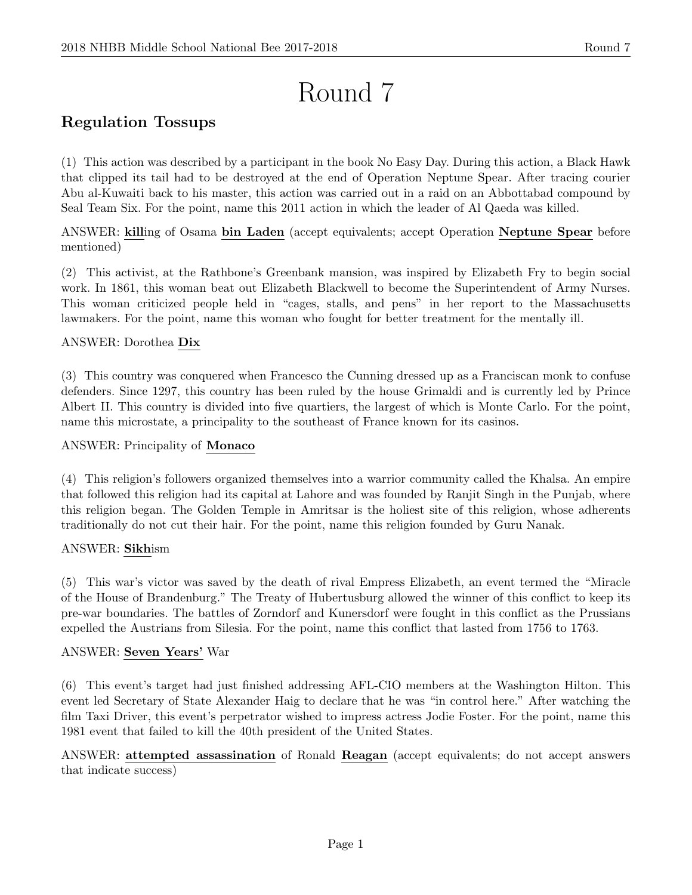# Round 7

## Regulation Tossups

(1) This action was described by a participant in the book No Easy Day. During this action, a Black Hawk that clipped its tail had to be destroyed at the end of Operation Neptune Spear. After tracing courier Abu al-Kuwaiti back to his master, this action was carried out in a raid on an Abbottabad compound by Seal Team Six. For the point, name this 2011 action in which the leader of Al Qaeda was killed.

ANSWER: killing of Osama bin Laden (accept equivalents; accept Operation Neptune Spear before mentioned)

(2) This activist, at the Rathbone's Greenbank mansion, was inspired by Elizabeth Fry to begin social work. In 1861, this woman beat out Elizabeth Blackwell to become the Superintendent of Army Nurses. This woman criticized people held in "cages, stalls, and pens" in her report to the Massachusetts lawmakers. For the point, name this woman who fought for better treatment for the mentally ill.

#### ANSWER: Dorothea Dix

(3) This country was conquered when Francesco the Cunning dressed up as a Franciscan monk to confuse defenders. Since 1297, this country has been ruled by the house Grimaldi and is currently led by Prince Albert II. This country is divided into five quartiers, the largest of which is Monte Carlo. For the point, name this microstate, a principality to the southeast of France known for its casinos.

#### ANSWER: Principality of Monaco

(4) This religion's followers organized themselves into a warrior community called the Khalsa. An empire that followed this religion had its capital at Lahore and was founded by Ranjit Singh in the Punjab, where this religion began. The Golden Temple in Amritsar is the holiest site of this religion, whose adherents traditionally do not cut their hair. For the point, name this religion founded by Guru Nanak.

#### ANSWER: Sikhism

(5) This war's victor was saved by the death of rival Empress Elizabeth, an event termed the "Miracle of the House of Brandenburg." The Treaty of Hubertusburg allowed the winner of this conflict to keep its pre-war boundaries. The battles of Zorndorf and Kunersdorf were fought in this conflict as the Prussians expelled the Austrians from Silesia. For the point, name this conflict that lasted from 1756 to 1763.

#### ANSWER: Seven Years' War

(6) This event's target had just finished addressing AFL-CIO members at the Washington Hilton. This event led Secretary of State Alexander Haig to declare that he was "in control here." After watching the film Taxi Driver, this event's perpetrator wished to impress actress Jodie Foster. For the point, name this 1981 event that failed to kill the 40th president of the United States.

ANSWER: attempted assassination of Ronald Reagan (accept equivalents; do not accept answers that indicate success)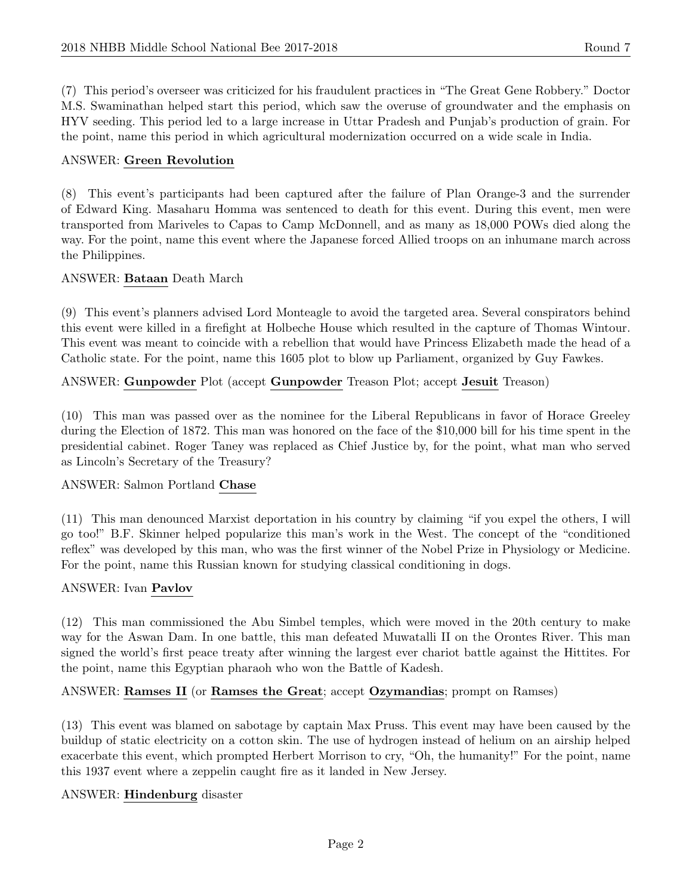(7) This period's overseer was criticized for his fraudulent practices in "The Great Gene Robbery." Doctor M.S. Swaminathan helped start this period, which saw the overuse of groundwater and the emphasis on HYV seeding. This period led to a large increase in Uttar Pradesh and Punjab's production of grain. For the point, name this period in which agricultural modernization occurred on a wide scale in India.

#### ANSWER: Green Revolution

(8) This event's participants had been captured after the failure of Plan Orange-3 and the surrender of Edward King. Masaharu Homma was sentenced to death for this event. During this event, men were transported from Mariveles to Capas to Camp McDonnell, and as many as 18,000 POWs died along the way. For the point, name this event where the Japanese forced Allied troops on an inhumane march across the Philippines.

#### ANSWER: Bataan Death March

(9) This event's planners advised Lord Monteagle to avoid the targeted area. Several conspirators behind this event were killed in a firefight at Holbeche House which resulted in the capture of Thomas Wintour. This event was meant to coincide with a rebellion that would have Princess Elizabeth made the head of a Catholic state. For the point, name this 1605 plot to blow up Parliament, organized by Guy Fawkes.

ANSWER: Gunpowder Plot (accept Gunpowder Treason Plot; accept Jesuit Treason)

(10) This man was passed over as the nominee for the Liberal Republicans in favor of Horace Greeley during the Election of 1872. This man was honored on the face of the \$10,000 bill for his time spent in the presidential cabinet. Roger Taney was replaced as Chief Justice by, for the point, what man who served as Lincoln's Secretary of the Treasury?

#### ANSWER: Salmon Portland Chase

(11) This man denounced Marxist deportation in his country by claiming "if you expel the others, I will go too!" B.F. Skinner helped popularize this man's work in the West. The concept of the "conditioned reflex" was developed by this man, who was the first winner of the Nobel Prize in Physiology or Medicine. For the point, name this Russian known for studying classical conditioning in dogs.

#### ANSWER: Ivan Pavlov

(12) This man commissioned the Abu Simbel temples, which were moved in the 20th century to make way for the Aswan Dam. In one battle, this man defeated Muwatalli II on the Orontes River. This man signed the world's first peace treaty after winning the largest ever chariot battle against the Hittites. For the point, name this Egyptian pharaoh who won the Battle of Kadesh.

#### ANSWER: Ramses II (or Ramses the Great; accept Ozymandias; prompt on Ramses)

(13) This event was blamed on sabotage by captain Max Pruss. This event may have been caused by the buildup of static electricity on a cotton skin. The use of hydrogen instead of helium on an airship helped exacerbate this event, which prompted Herbert Morrison to cry, "Oh, the humanity!" For the point, name this 1937 event where a zeppelin caught fire as it landed in New Jersey.

#### ANSWER: Hindenburg disaster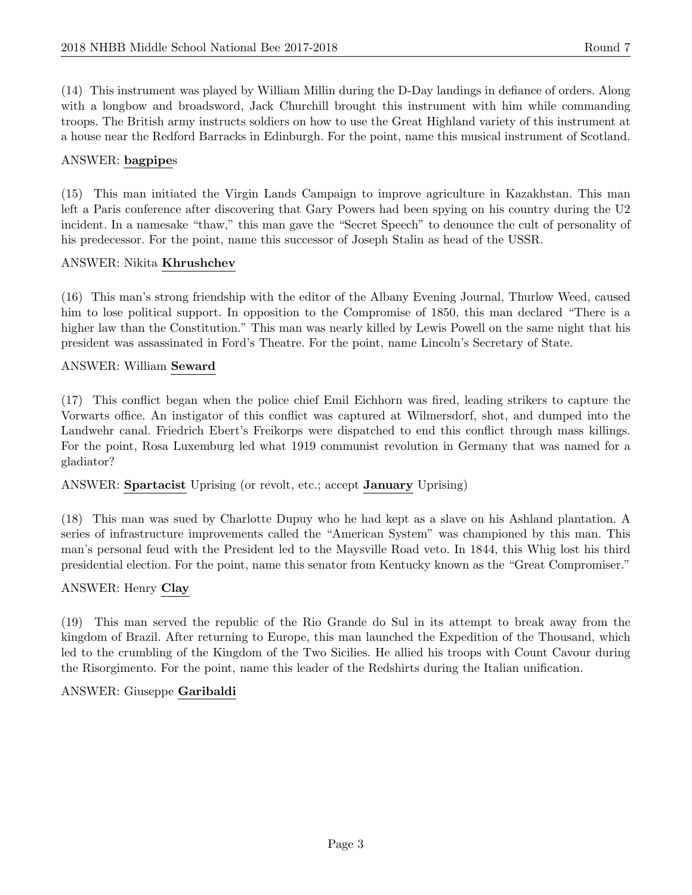(14) This instrument was played by William Millin during the D-Day landings in defiance of orders. Along with a longbow and broadsword, Jack Churchill brought this instrument with him while commanding troops. The British army instructs soldiers on how to use the Great Highland variety of this instrument at a house near the Redford Barracks in Edinburgh. For the point, name this musical instrument of Scotland.

#### ANSWER: bagpipes

(15) This man initiated the Virgin Lands Campaign to improve agriculture in Kazakhstan. This man left a Paris conference after discovering that Gary Powers had been spying on his country during the U2 incident. In a namesake "thaw," this man gave the "Secret Speech" to denounce the cult of personality of his predecessor. For the point, name this successor of Joseph Stalin as head of the USSR.

#### ANSWER: Nikita Khrushchev

(16) This man's strong friendship with the editor of the Albany Evening Journal, Thurlow Weed, caused him to lose political support. In opposition to the Compromise of 1850, this man declared "There is a higher law than the Constitution." This man was nearly killed by Lewis Powell on the same night that his president was assassinated in Ford's Theatre. For the point, name Lincoln's Secretary of State.

#### ANSWER: William Seward

(17) This conflict began when the police chief Emil Eichhorn was fired, leading strikers to capture the Vorwarts office. An instigator of this conflict was captured at Wilmersdorf, shot, and dumped into the Landwehr canal. Friedrich Ebert's Freikorps were dispatched to end this conflict through mass killings. For the point, Rosa Luxemburg led what 1919 communist revolution in Germany that was named for a gladiator?

#### ANSWER: Spartacist Uprising (or revolt, etc.; accept January Uprising)

(18) This man was sued by Charlotte Dupuy who he had kept as a slave on his Ashland plantation. A series of infrastructure improvements called the "American System" was championed by this man. This man's personal feud with the President led to the Maysville Road veto. In 1844, this Whig lost his third presidential election. For the point, name this senator from Kentucky known as the "Great Compromiser."

#### ANSWER: Henry Clay

(19) This man served the republic of the Rio Grande do Sul in its attempt to break away from the kingdom of Brazil. After returning to Europe, this man launched the Expedition of the Thousand, which led to the crumbling of the Kingdom of the Two Sicilies. He allied his troops with Count Cavour during the Risorgimento. For the point, name this leader of the Redshirts during the Italian unification.

#### ANSWER: Giuseppe Garibaldi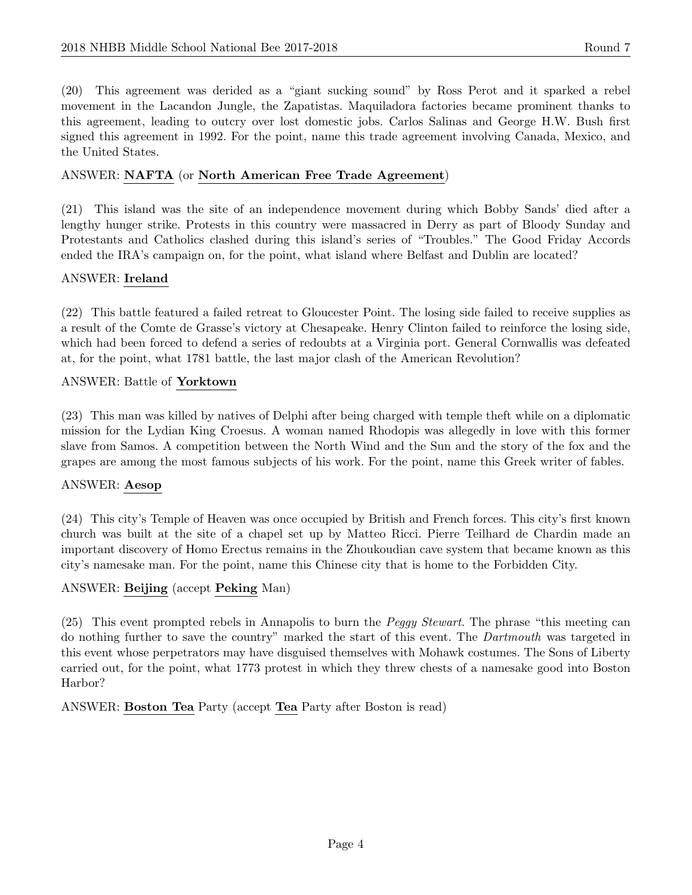(20) This agreement was derided as a "giant sucking sound" by Ross Perot and it sparked a rebel movement in the Lacandon Jungle, the Zapatistas. Maquiladora factories became prominent thanks to this agreement, leading to outcry over lost domestic jobs. Carlos Salinas and George H.W. Bush first signed this agreement in 1992. For the point, name this trade agreement involving Canada, Mexico, and the United States.

#### ANSWER: NAFTA (or North American Free Trade Agreement)

(21) This island was the site of an independence movement during which Bobby Sands' died after a lengthy hunger strike. Protests in this country were massacred in Derry as part of Bloody Sunday and Protestants and Catholics clashed during this island's series of "Troubles." The Good Friday Accords ended the IRA's campaign on, for the point, what island where Belfast and Dublin are located?

#### ANSWER: Ireland

(22) This battle featured a failed retreat to Gloucester Point. The losing side failed to receive supplies as a result of the Comte de Grasse's victory at Chesapeake. Henry Clinton failed to reinforce the losing side, which had been forced to defend a series of redoubts at a Virginia port. General Cornwallis was defeated at, for the point, what 1781 battle, the last major clash of the American Revolution?

#### ANSWER: Battle of Yorktown

(23) This man was killed by natives of Delphi after being charged with temple theft while on a diplomatic mission for the Lydian King Croesus. A woman named Rhodopis was allegedly in love with this former slave from Samos. A competition between the North Wind and the Sun and the story of the fox and the grapes are among the most famous subjects of his work. For the point, name this Greek writer of fables.

#### ANSWER: Aesop

(24) This city's Temple of Heaven was once occupied by British and French forces. This city's first known church was built at the site of a chapel set up by Matteo Ricci. Pierre Teilhard de Chardin made an important discovery of Homo Erectus remains in the Zhoukoudian cave system that became known as this city's namesake man. For the point, name this Chinese city that is home to the Forbidden City.

#### ANSWER: Beijing (accept Peking Man)

(25) This event prompted rebels in Annapolis to burn the Peggy Stewart. The phrase "this meeting can do nothing further to save the country" marked the start of this event. The Dartmouth was targeted in this event whose perpetrators may have disguised themselves with Mohawk costumes. The Sons of Liberty carried out, for the point, what 1773 protest in which they threw chests of a namesake good into Boston Harbor?

ANSWER: Boston Tea Party (accept Tea Party after Boston is read)